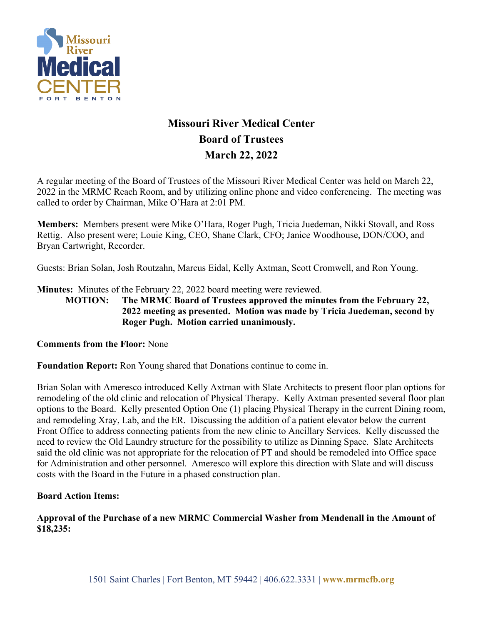

## **Missouri River Medical Center Board of Trustees March 22, 2022**

A regular meeting of the Board of Trustees of the Missouri River Medical Center was held on March 22, 2022 in the MRMC Reach Room, and by utilizing online phone and video conferencing. The meeting was called to order by Chairman, Mike O'Hara at 2:01 PM.

**Members:** Members present were Mike O'Hara, Roger Pugh, Tricia Juedeman, Nikki Stovall, and Ross Rettig. Also present were; Louie King, CEO, Shane Clark, CFO; Janice Woodhouse, DON/COO, and Bryan Cartwright, Recorder.

Guests: Brian Solan, Josh Routzahn, Marcus Eidal, Kelly Axtman, Scott Cromwell, and Ron Young.

**Minutes:** Minutes of the February 22, 2022 board meeting were reviewed.

**MOTION: The MRMC Board of Trustees approved the minutes from the February 22, 2022 meeting as presented. Motion was made by Tricia Juedeman, second by Roger Pugh. Motion carried unanimously.**

**Comments from the Floor:** None

**Foundation Report:** Ron Young shared that Donations continue to come in.

Brian Solan with Ameresco introduced Kelly Axtman with Slate Architects to present floor plan options for remodeling of the old clinic and relocation of Physical Therapy. Kelly Axtman presented several floor plan options to the Board. Kelly presented Option One (1) placing Physical Therapy in the current Dining room, and remodeling Xray, Lab, and the ER. Discussing the addition of a patient elevator below the current Front Office to address connecting patients from the new clinic to Ancillary Services. Kelly discussed the need to review the Old Laundry structure for the possibility to utilize as Dinning Space. Slate Architects said the old clinic was not appropriate for the relocation of PT and should be remodeled into Office space for Administration and other personnel. Ameresco will explore this direction with Slate and will discuss costs with the Board in the Future in a phased construction plan.

**Board Action Items:** 

**Approval of the Purchase of a new MRMC Commercial Washer from Mendenall in the Amount of \$18,235:**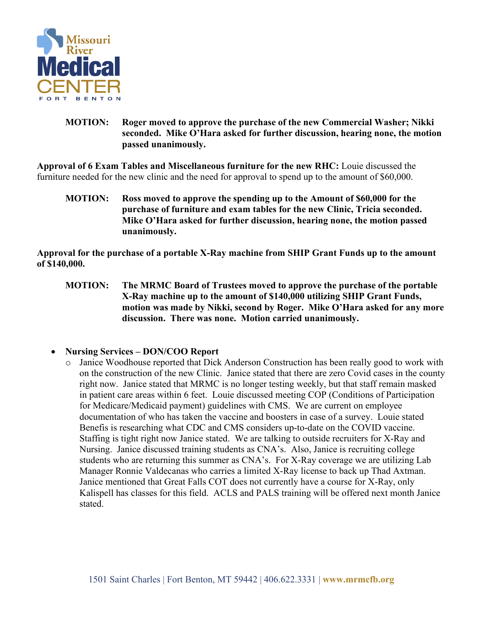

**MOTION: Roger moved to approve the purchase of the new Commercial Washer; Nikki seconded. Mike O'Hara asked for further discussion, hearing none, the motion passed unanimously.**

**Approval of 6 Exam Tables and Miscellaneous furniture for the new RHC:** Louie discussed the furniture needed for the new clinic and the need for approval to spend up to the amount of \$60,000.

**MOTION: Ross moved to approve the spending up to the Amount of \$60,000 for the purchase of furniture and exam tables for the new Clinic, Tricia seconded. Mike O'Hara asked for further discussion, hearing none, the motion passed unanimously.**

**Approval for the purchase of a portable X-Ray machine from SHIP Grant Funds up to the amount of \$140,000.**

**MOTION: The MRMC Board of Trustees moved to approve the purchase of the portable X-Ray machine up to the amount of \$140,000 utilizing SHIP Grant Funds, motion was made by Nikki, second by Roger. Mike O'Hara asked for any more discussion. There was none. Motion carried unanimously.**

## • **Nursing Services – DON/COO Report**

o Janice Woodhouse reported that Dick Anderson Construction has been really good to work with on the construction of the new Clinic. Janice stated that there are zero Covid cases in the county right now. Janice stated that MRMC is no longer testing weekly, but that staff remain masked in patient care areas within 6 feet. Louie discussed meeting COP (Conditions of Participation for Medicare/Medicaid payment) guidelines with CMS. We are current on employee documentation of who has taken the vaccine and boosters in case of a survey. Louie stated Benefis is researching what CDC and CMS considers up-to-date on the COVID vaccine. Staffing is tight right now Janice stated. We are talking to outside recruiters for X-Ray and Nursing. Janice discussed training students as CNA's. Also, Janice is recruiting college students who are returning this summer as CNA's. For X-Ray coverage we are utilizing Lab Manager Ronnie Valdecanas who carries a limited X-Ray license to back up Thad Axtman. Janice mentioned that Great Falls COT does not currently have a course for X-Ray, only Kalispell has classes for this field. ACLS and PALS training will be offered next month Janice stated.